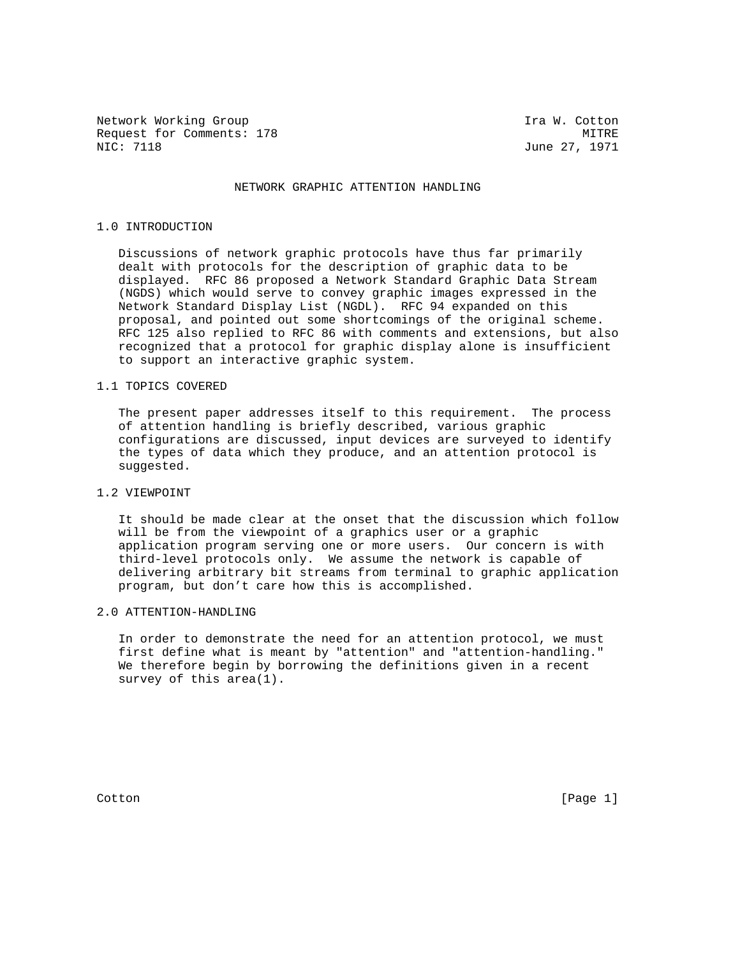Network Working Group 10 and 100 minutes of the U.S. of the U.S. of the U.S. of the U.S. of the U.S. of the U.S Request for Comments: 178 MITRE MIC: 7118 MITRE MIC: 7118

June 27, 1971

### NETWORK GRAPHIC ATTENTION HANDLING

#### 1.0 INTRODUCTION

 Discussions of network graphic protocols have thus far primarily dealt with protocols for the description of graphic data to be displayed. RFC 86 proposed a Network Standard Graphic Data Stream (NGDS) which would serve to convey graphic images expressed in the Network Standard Display List (NGDL). RFC 94 expanded on this proposal, and pointed out some shortcomings of the original scheme. RFC 125 also replied to RFC 86 with comments and extensions, but also recognized that a protocol for graphic display alone is insufficient to support an interactive graphic system.

## 1.1 TOPICS COVERED

 The present paper addresses itself to this requirement. The process of attention handling is briefly described, various graphic configurations are discussed, input devices are surveyed to identify the types of data which they produce, and an attention protocol is suggested.

## 1.2 VIEWPOINT

 It should be made clear at the onset that the discussion which follow will be from the viewpoint of a graphics user or a graphic application program serving one or more users. Our concern is with third-level protocols only. We assume the network is capable of delivering arbitrary bit streams from terminal to graphic application program, but don't care how this is accomplished.

#### 2.0 ATTENTION-HANDLING

 In order to demonstrate the need for an attention protocol, we must first define what is meant by "attention" and "attention-handling." We therefore begin by borrowing the definitions given in a recent survey of this area(1).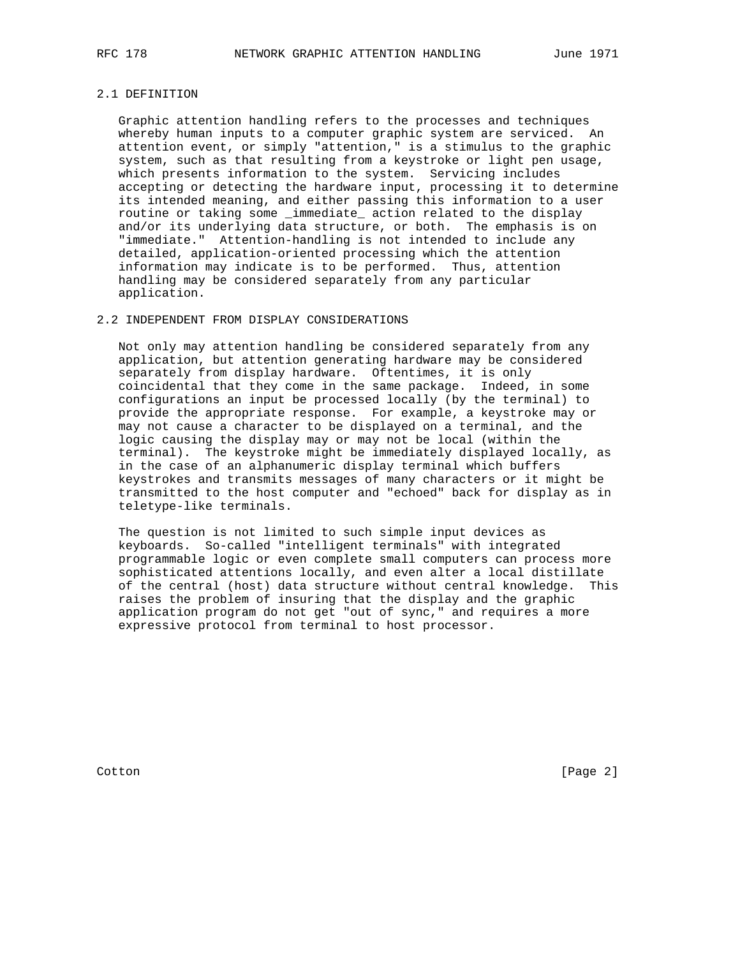## 2.1 DEFINITION

 Graphic attention handling refers to the processes and techniques whereby human inputs to a computer graphic system are serviced. An attention event, or simply "attention," is a stimulus to the graphic system, such as that resulting from a keystroke or light pen usage, which presents information to the system. Servicing includes accepting or detecting the hardware input, processing it to determine its intended meaning, and either passing this information to a user routine or taking some immediate action related to the display and/or its underlying data structure, or both. The emphasis is on "immediate." Attention-handling is not intended to include any detailed, application-oriented processing which the attention information may indicate is to be performed. Thus, attention handling may be considered separately from any particular application.

#### 2.2 INDEPENDENT FROM DISPLAY CONSIDERATIONS

 Not only may attention handling be considered separately from any application, but attention generating hardware may be considered separately from display hardware. Oftentimes, it is only coincidental that they come in the same package. Indeed, in some configurations an input be processed locally (by the terminal) to provide the appropriate response. For example, a keystroke may or may not cause a character to be displayed on a terminal, and the logic causing the display may or may not be local (within the terminal). The keystroke might be immediately displayed locally, as in the case of an alphanumeric display terminal which buffers keystrokes and transmits messages of many characters or it might be transmitted to the host computer and "echoed" back for display as in teletype-like terminals.

 The question is not limited to such simple input devices as keyboards. So-called "intelligent terminals" with integrated programmable logic or even complete small computers can process more sophisticated attentions locally, and even alter a local distillate of the central (host) data structure without central knowledge. This raises the problem of insuring that the display and the graphic application program do not get "out of sync," and requires a more expressive protocol from terminal to host processor.

Cotton [Page 2]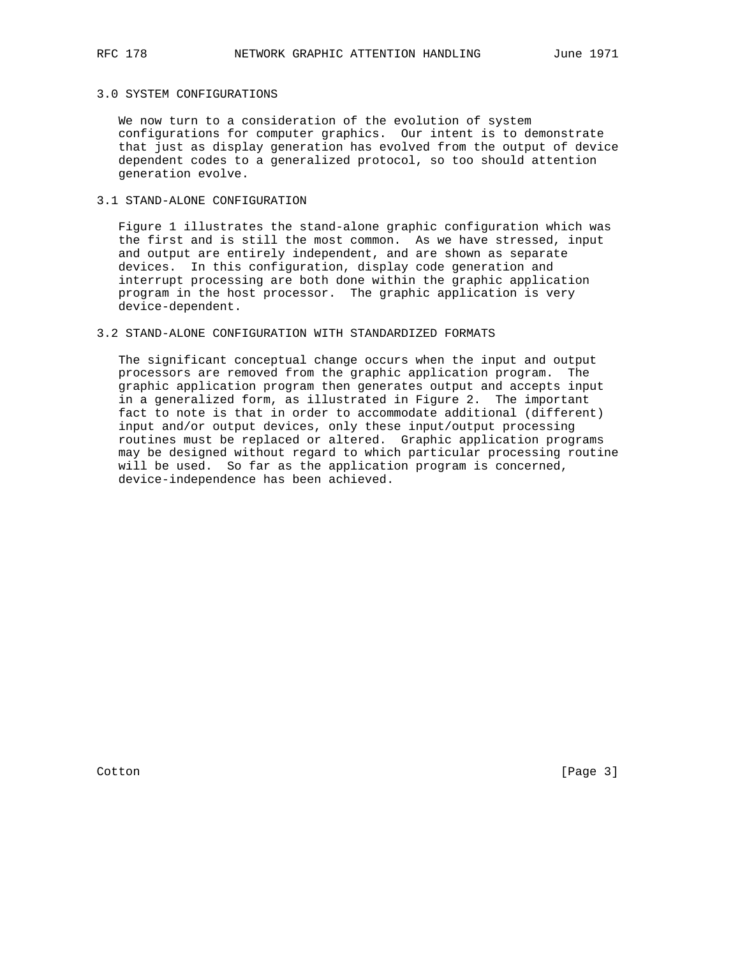## 3.0 SYSTEM CONFIGURATIONS

 We now turn to a consideration of the evolution of system configurations for computer graphics. Our intent is to demonstrate that just as display generation has evolved from the output of device dependent codes to a generalized protocol, so too should attention generation evolve.

### 3.1 STAND-ALONE CONFIGURATION

 Figure 1 illustrates the stand-alone graphic configuration which was the first and is still the most common. As we have stressed, input and output are entirely independent, and are shown as separate devices. In this configuration, display code generation and interrupt processing are both done within the graphic application program in the host processor. The graphic application is very device-dependent.

## 3.2 STAND-ALONE CONFIGURATION WITH STANDARDIZED FORMATS

 The significant conceptual change occurs when the input and output processors are removed from the graphic application program. The graphic application program then generates output and accepts input in a generalized form, as illustrated in Figure 2. The important fact to note is that in order to accommodate additional (different) input and/or output devices, only these input/output processing routines must be replaced or altered. Graphic application programs may be designed without regard to which particular processing routine will be used. So far as the application program is concerned, device-independence has been achieved.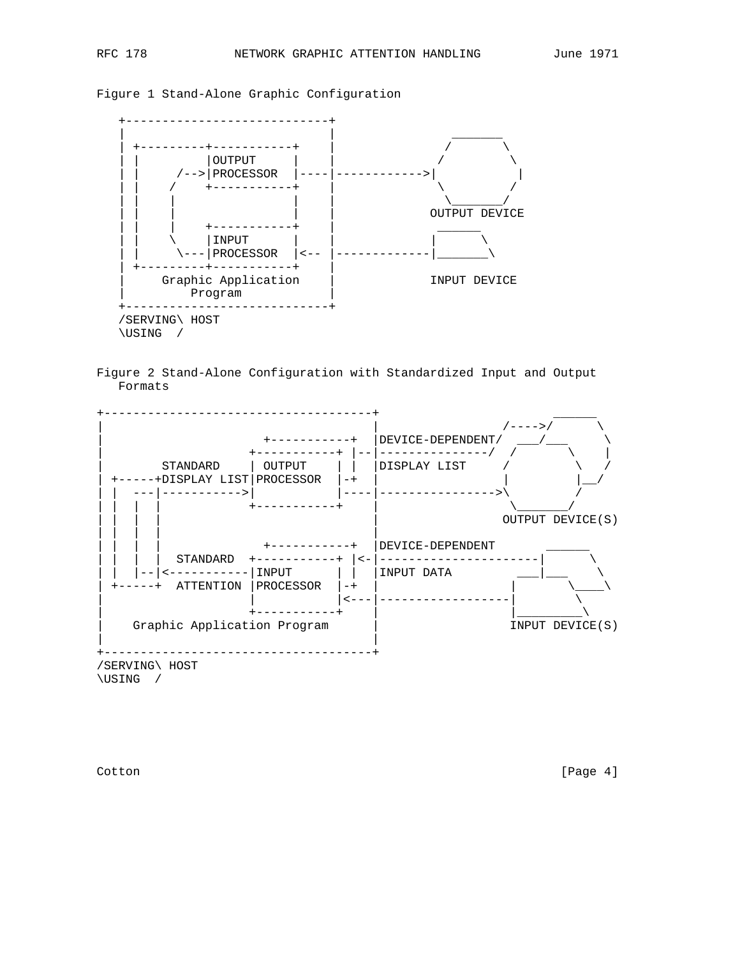







Cotton [Page 4]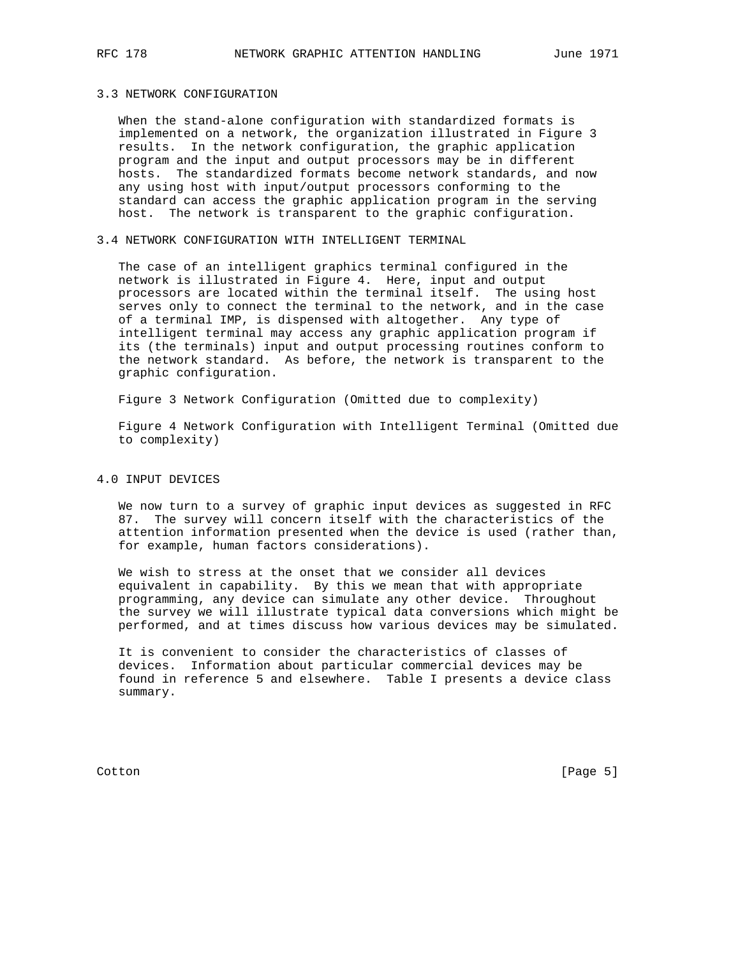## 3.3 NETWORK CONFIGURATION

 When the stand-alone configuration with standardized formats is implemented on a network, the organization illustrated in Figure 3 results. In the network configuration, the graphic application program and the input and output processors may be in different hosts. The standardized formats become network standards, and now any using host with input/output processors conforming to the standard can access the graphic application program in the serving host. The network is transparent to the graphic configuration.

## 3.4 NETWORK CONFIGURATION WITH INTELLIGENT TERMINAL

 The case of an intelligent graphics terminal configured in the network is illustrated in Figure 4. Here, input and output processors are located within the terminal itself. The using host serves only to connect the terminal to the network, and in the case of a terminal IMP, is dispensed with altogether. Any type of intelligent terminal may access any graphic application program if its (the terminals) input and output processing routines conform to the network standard. As before, the network is transparent to the graphic configuration.

Figure 3 Network Configuration (Omitted due to complexity)

 Figure 4 Network Configuration with Intelligent Terminal (Omitted due to complexity)

## 4.0 INPUT DEVICES

 We now turn to a survey of graphic input devices as suggested in RFC 87. The survey will concern itself with the characteristics of the attention information presented when the device is used (rather than, for example, human factors considerations).

 We wish to stress at the onset that we consider all devices equivalent in capability. By this we mean that with appropriate programming, any device can simulate any other device. Throughout the survey we will illustrate typical data conversions which might be performed, and at times discuss how various devices may be simulated.

 It is convenient to consider the characteristics of classes of devices. Information about particular commercial devices may be found in reference 5 and elsewhere. Table I presents a device class summary.

Cotton [Page 5]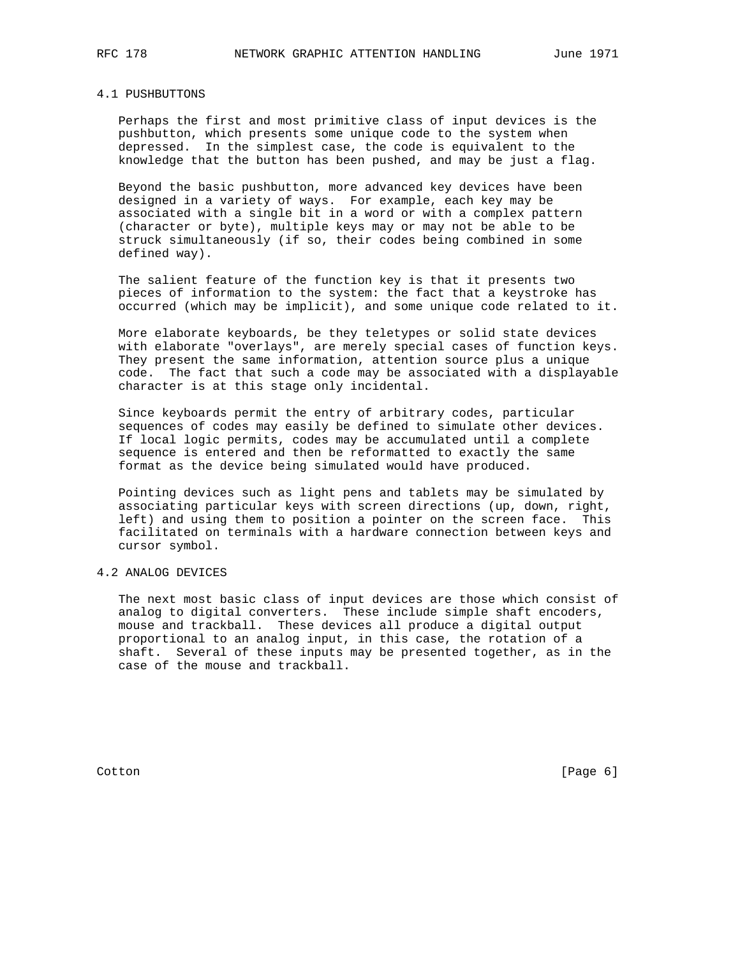#### 4.1 PUSHBUTTONS

 Perhaps the first and most primitive class of input devices is the pushbutton, which presents some unique code to the system when depressed. In the simplest case, the code is equivalent to the knowledge that the button has been pushed, and may be just a flag.

 Beyond the basic pushbutton, more advanced key devices have been designed in a variety of ways. For example, each key may be associated with a single bit in a word or with a complex pattern (character or byte), multiple keys may or may not be able to be struck simultaneously (if so, their codes being combined in some defined way).

 The salient feature of the function key is that it presents two pieces of information to the system: the fact that a keystroke has occurred (which may be implicit), and some unique code related to it.

 More elaborate keyboards, be they teletypes or solid state devices with elaborate "overlays", are merely special cases of function keys. They present the same information, attention source plus a unique code. The fact that such a code may be associated with a displayable character is at this stage only incidental.

 Since keyboards permit the entry of arbitrary codes, particular sequences of codes may easily be defined to simulate other devices. If local logic permits, codes may be accumulated until a complete sequence is entered and then be reformatted to exactly the same format as the device being simulated would have produced.

 Pointing devices such as light pens and tablets may be simulated by associating particular keys with screen directions (up, down, right, left) and using them to position a pointer on the screen face. This facilitated on terminals with a hardware connection between keys and cursor symbol.

#### 4.2 ANALOG DEVICES

 The next most basic class of input devices are those which consist of analog to digital converters. These include simple shaft encoders, mouse and trackball. These devices all produce a digital output proportional to an analog input, in this case, the rotation of a shaft. Several of these inputs may be presented together, as in the case of the mouse and trackball.

Cotton [Page 6]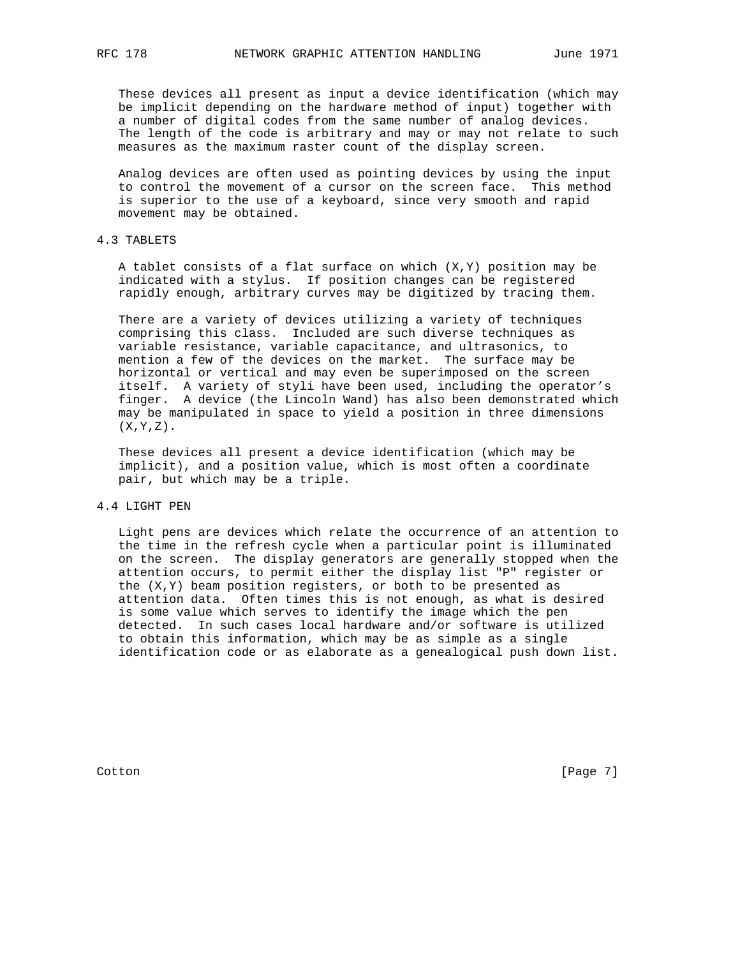These devices all present as input a device identification (which may be implicit depending on the hardware method of input) together with a number of digital codes from the same number of analog devices. The length of the code is arbitrary and may or may not relate to such measures as the maximum raster count of the display screen.

 Analog devices are often used as pointing devices by using the input to control the movement of a cursor on the screen face. This method is superior to the use of a keyboard, since very smooth and rapid movement may be obtained.

## 4.3 TABLETS

A tablet consists of a flat surface on which  $(X, Y)$  position may be indicated with a stylus. If position changes can be registered rapidly enough, arbitrary curves may be digitized by tracing them.

 There are a variety of devices utilizing a variety of techniques comprising this class. Included are such diverse techniques as variable resistance, variable capacitance, and ultrasonics, to mention a few of the devices on the market. The surface may be horizontal or vertical and may even be superimposed on the screen itself. A variety of styli have been used, including the operator's finger. A device (the Lincoln Wand) has also been demonstrated which may be manipulated in space to yield a position in three dimensions  $(X, Y, Z)$ .

 These devices all present a device identification (which may be implicit), and a position value, which is most often a coordinate pair, but which may be a triple.

### 4.4 LIGHT PEN

 Light pens are devices which relate the occurrence of an attention to the time in the refresh cycle when a particular point is illuminated on the screen. The display generators are generally stopped when the attention occurs, to permit either the display list "P" register or the (X,Y) beam position registers, or both to be presented as attention data. Often times this is not enough, as what is desired is some value which serves to identify the image which the pen detected. In such cases local hardware and/or software is utilized to obtain this information, which may be as simple as a single identification code or as elaborate as a genealogical push down list.

Cotton [Page 7]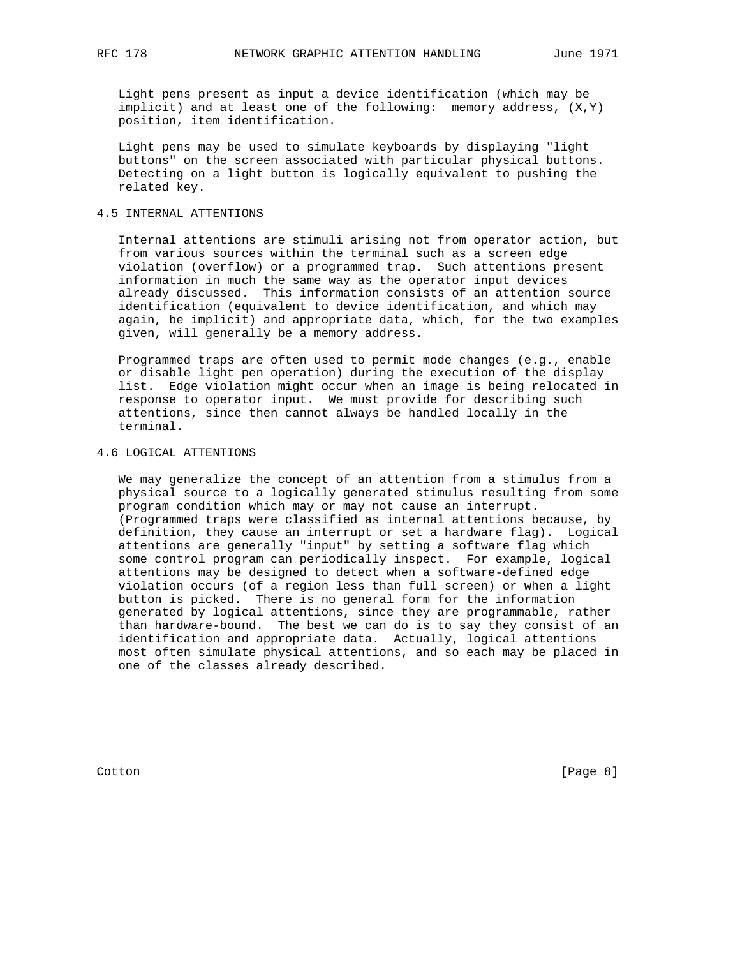Light pens present as input a device identification (which may be implicit) and at least one of the following: memory address, (X,Y) position, item identification.

 Light pens may be used to simulate keyboards by displaying "light buttons" on the screen associated with particular physical buttons. Detecting on a light button is logically equivalent to pushing the related key.

### 4.5 INTERNAL ATTENTIONS

 Internal attentions are stimuli arising not from operator action, but from various sources within the terminal such as a screen edge violation (overflow) or a programmed trap. Such attentions present information in much the same way as the operator input devices already discussed. This information consists of an attention source identification (equivalent to device identification, and which may again, be implicit) and appropriate data, which, for the two examples given, will generally be a memory address.

 Programmed traps are often used to permit mode changes (e.g., enable or disable light pen operation) during the execution of the display list. Edge violation might occur when an image is being relocated in response to operator input. We must provide for describing such attentions, since then cannot always be handled locally in the terminal.

#### 4.6 LOGICAL ATTENTIONS

 We may generalize the concept of an attention from a stimulus from a physical source to a logically generated stimulus resulting from some program condition which may or may not cause an interrupt. (Programmed traps were classified as internal attentions because, by definition, they cause an interrupt or set a hardware flag). Logical attentions are generally "input" by setting a software flag which some control program can periodically inspect. For example, logical attentions may be designed to detect when a software-defined edge violation occurs (of a region less than full screen) or when a light button is picked. There is no general form for the information generated by logical attentions, since they are programmable, rather than hardware-bound. The best we can do is to say they consist of an identification and appropriate data. Actually, logical attentions most often simulate physical attentions, and so each may be placed in one of the classes already described.

Cotton [Page 8]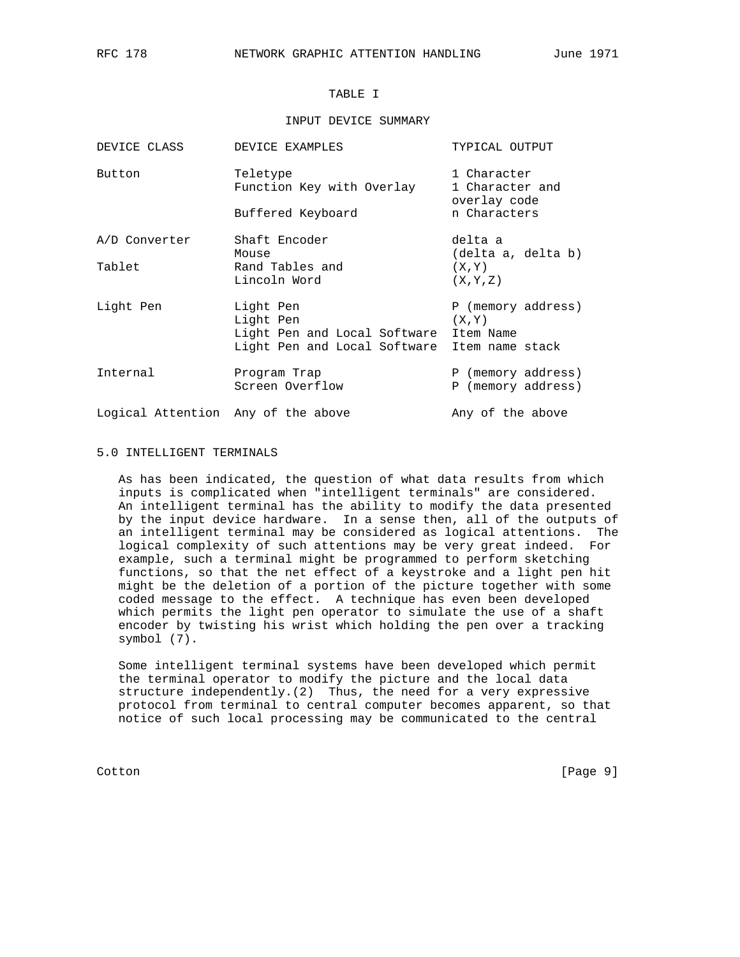# TABLE I

#### INPUT DEVICE SUMMARY

| DEVICE CLASS                       | DEVICE EXAMPLES                                                  | TYPICAL OUTPUT                                 |
|------------------------------------|------------------------------------------------------------------|------------------------------------------------|
| Button                             | Teletype<br>Function Key with Overlay                            | 1 Character<br>1 Character and<br>overlay code |
|                                    | Buffered Keyboard                                                | n Characters                                   |
| A/D Converter                      | Shaft Encoder<br>Mouse                                           | delta a<br>(delta a, delta b)                  |
| Tablet                             | Rand Tables and<br>Lincoln Word                                  | (X, Y)<br>(X, Y, Z)                            |
| Light Pen                          | Light Pen<br>Light Pen<br>Light Pen and Local Software Item Name | P (memory address)<br>(X, Y)                   |
|                                    | Light Pen and Local Software Item name stack                     |                                                |
| Internal                           | Program Trap<br>Screen Overflow                                  | P (memory address)<br>P (memory address)       |
| Logical Attention Any of the above |                                                                  | Any of the above                               |

#### 5.0 INTELLIGENT TERMINALS

 As has been indicated, the question of what data results from which inputs is complicated when "intelligent terminals" are considered. An intelligent terminal has the ability to modify the data presented by the input device hardware. In a sense then, all of the outputs of an intelligent terminal may be considered as logical attentions. The logical complexity of such attentions may be very great indeed. For example, such a terminal might be programmed to perform sketching functions, so that the net effect of a keystroke and a light pen hit might be the deletion of a portion of the picture together with some coded message to the effect. A technique has even been developed which permits the light pen operator to simulate the use of a shaft encoder by twisting his wrist which holding the pen over a tracking symbol (7).

 Some intelligent terminal systems have been developed which permit the terminal operator to modify the picture and the local data structure independently.(2) Thus, the need for a very expressive protocol from terminal to central computer becomes apparent, so that notice of such local processing may be communicated to the central

Cotton [Page 9]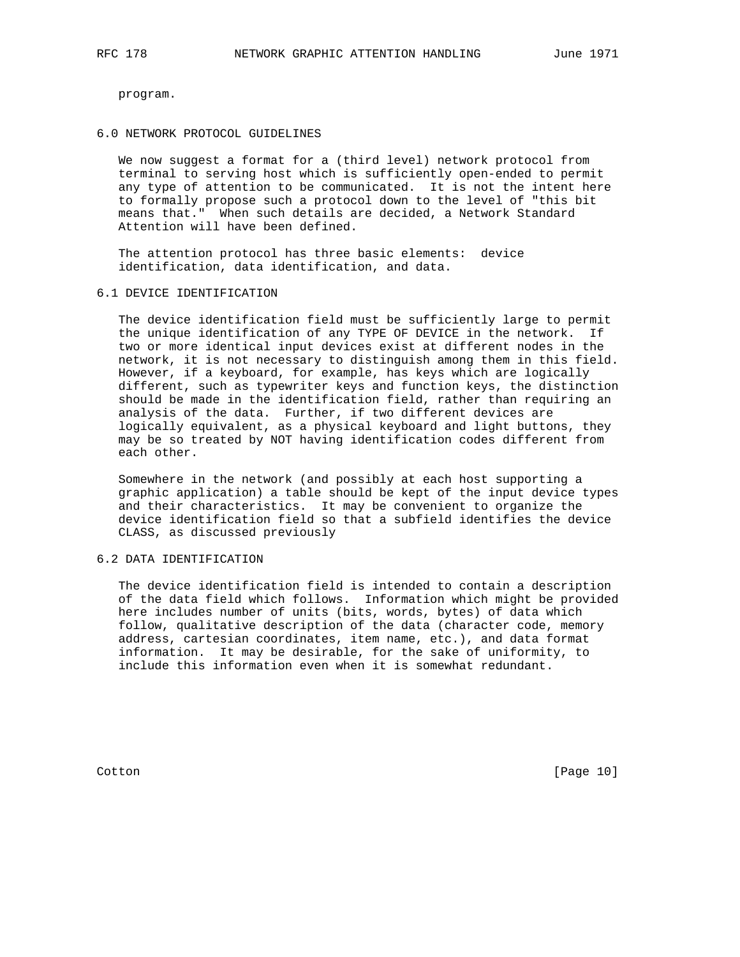program.

#### 6.0 NETWORK PROTOCOL GUIDELINES

 We now suggest a format for a (third level) network protocol from terminal to serving host which is sufficiently open-ended to permit any type of attention to be communicated. It is not the intent here to formally propose such a protocol down to the level of "this bit means that." When such details are decided, a Network Standard Attention will have been defined.

 The attention protocol has three basic elements: device identification, data identification, and data.

#### 6.1 DEVICE IDENTIFICATION

 The device identification field must be sufficiently large to permit the unique identification of any TYPE OF DEVICE in the network. If two or more identical input devices exist at different nodes in the network, it is not necessary to distinguish among them in this field. However, if a keyboard, for example, has keys which are logically different, such as typewriter keys and function keys, the distinction should be made in the identification field, rather than requiring an analysis of the data. Further, if two different devices are logically equivalent, as a physical keyboard and light buttons, they may be so treated by NOT having identification codes different from each other.

 Somewhere in the network (and possibly at each host supporting a graphic application) a table should be kept of the input device types and their characteristics. It may be convenient to organize the device identification field so that a subfield identifies the device CLASS, as discussed previously

### 6.2 DATA IDENTIFICATION

 The device identification field is intended to contain a description of the data field which follows. Information which might be provided here includes number of units (bits, words, bytes) of data which follow, qualitative description of the data (character code, memory address, cartesian coordinates, item name, etc.), and data format information. It may be desirable, for the sake of uniformity, to include this information even when it is somewhat redundant.

Cotton [Page 10]